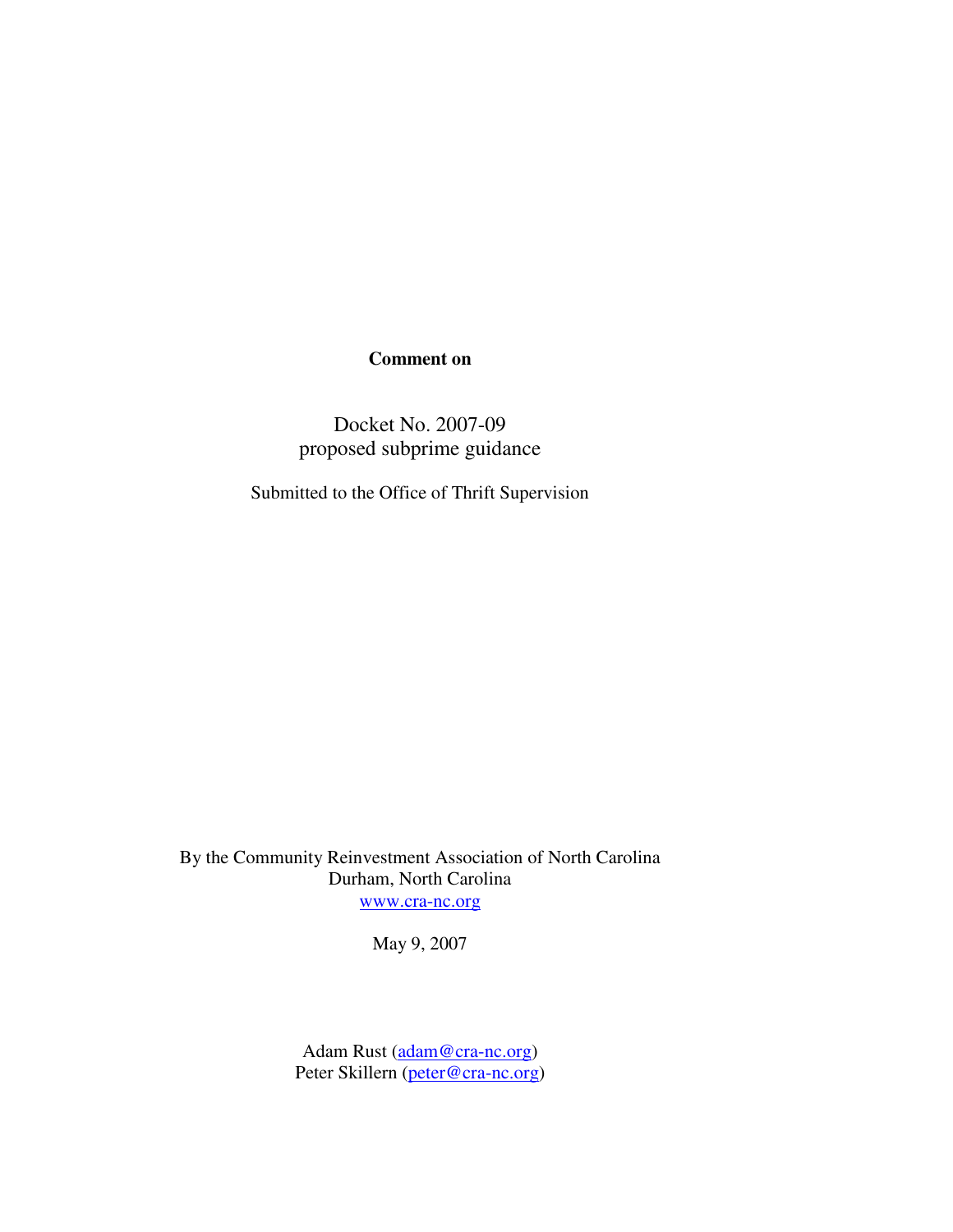# **Comment on**

Docket No. 2007-09 proposed subprime guidance

Submitted to the Office of Thrift Supervision

By the Community Reinvestment Association of North Carolina Durham, North Carolina www.cra-nc.org

May 9, 2007

Adam Rust (adam@cra-nc.org) Peter Skillern (peter@cra-nc.org)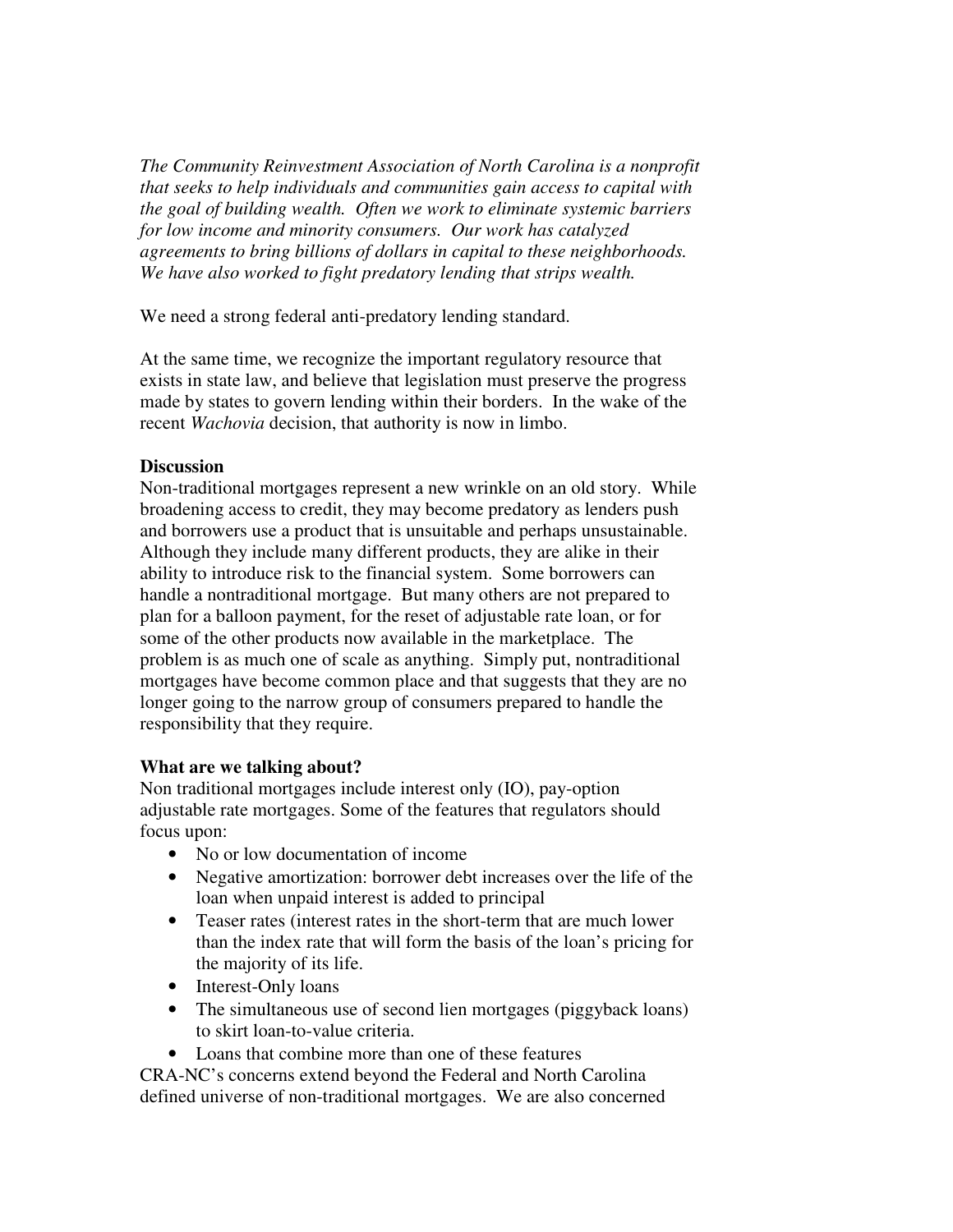*The Community Reinvestment Association of North Carolina is a nonprofit that seeks to help individuals and communities gain access to capital with the goal of building wealth. Often we work to eliminate systemic barriers for low income and minority consumers. Our work has catalyzed agreements to bring billions of dollars in capital to these neighborhoods. We have also worked to fight predatory lending that strips wealth.* 

We need a strong federal anti-predatory lending standard.

At the same time, we recognize the important regulatory resource that exists in state law, and believe that legislation must preserve the progress made by states to govern lending within their borders. In the wake of the recent *Wachovia* decision, that authority is now in limbo.

## **Discussion**

Non-traditional mortgages represent a new wrinkle on an old story. While broadening access to credit, they may become predatory as lenders push and borrowers use a product that is unsuitable and perhaps unsustainable. Although they include many different products, they are alike in their ability to introduce risk to the financial system. Some borrowers can handle a nontraditional mortgage. But many others are not prepared to plan for a balloon payment, for the reset of adjustable rate loan, or for some of the other products now available in the marketplace. The problem is as much one of scale as anything. Simply put, nontraditional mortgages have become common place and that suggests that they are no longer going to the narrow group of consumers prepared to handle the responsibility that they require.

# **What are we talking about?**

Non traditional mortgages include interest only (IO), pay-option adjustable rate mortgages. Some of the features that regulators should focus upon:

- No or low documentation of income
- Negative amortization: borrower debt increases over the life of the loan when unpaid interest is added to principal
- Teaser rates (interest rates in the short-term that are much lower than the index rate that will form the basis of the loan's pricing for the majority of its life.
- Interest-Only loans
- The simultaneous use of second lien mortgages (piggyback loans) to skirt loan-to-value criteria.
- Loans that combine more than one of these features

CRA-NC's concerns extend beyond the Federal and North Carolina defined universe of non-traditional mortgages. We are also concerned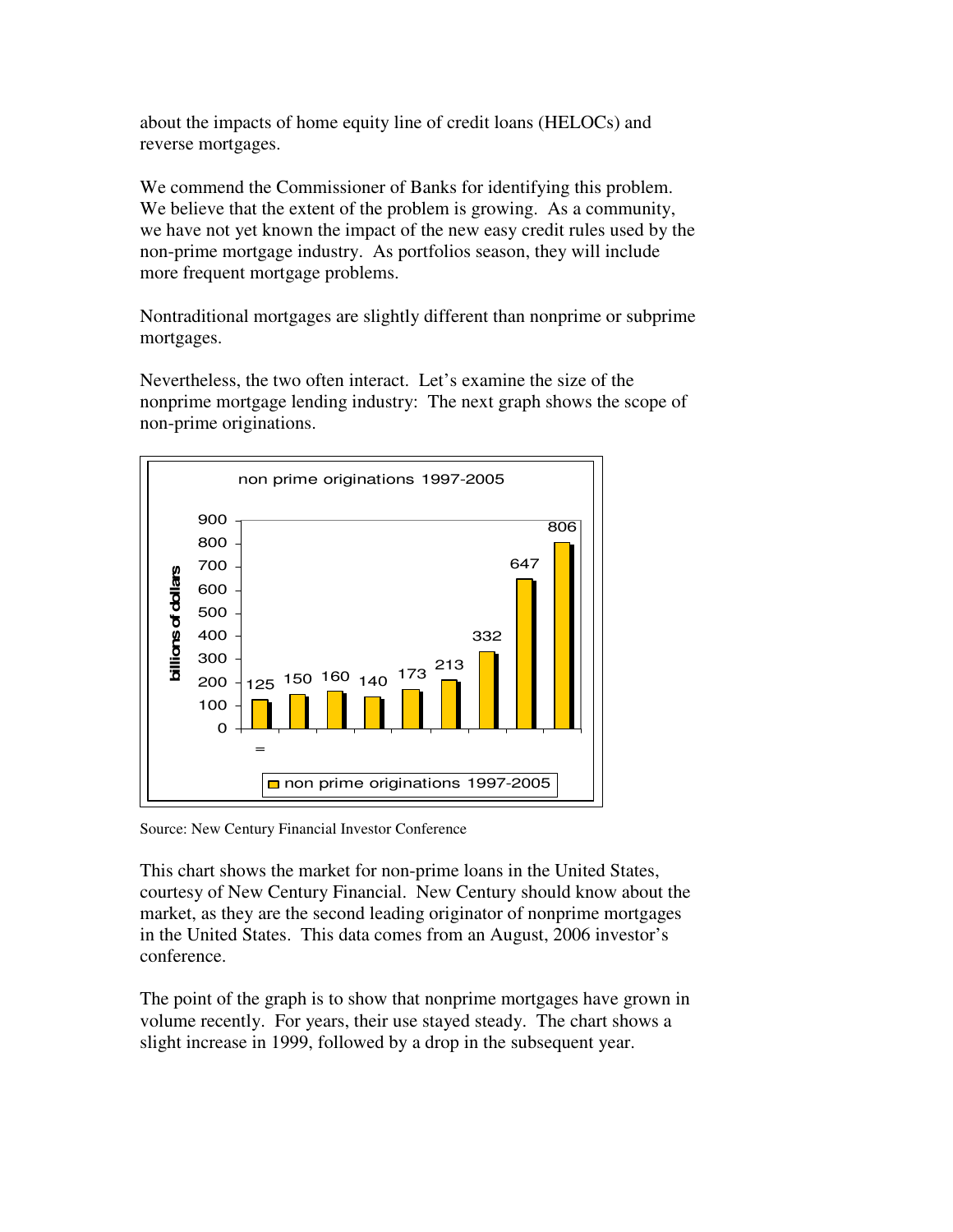about the impacts of home equity line of credit loans (HELOCs) and reverse mortgages.

We commend the Commissioner of Banks for identifying this problem. We believe that the extent of the problem is growing. As a community, we have not yet known the impact of the new easy credit rules used by the non-prime mortgage industry. As portfolios season, they will include more frequent mortgage problems.

Nontraditional mortgages are slightly different than nonprime or subprime mortgages.

Nevertheless, the two often interact. Let's examine the size of the nonprime mortgage lending industry: The next graph shows the scope of non-prime originations.



Source: New Century Financial Investor Conference

This chart shows the market for non-prime loans in the United States, courtesy of New Century Financial. New Century should know about the market, as they are the second leading originator of nonprime mortgages in the United States. This data comes from an August, 2006 investor's conference.

The point of the graph is to show that nonprime mortgages have grown in volume recently. For years, their use stayed steady. The chart shows a slight increase in 1999, followed by a drop in the subsequent year.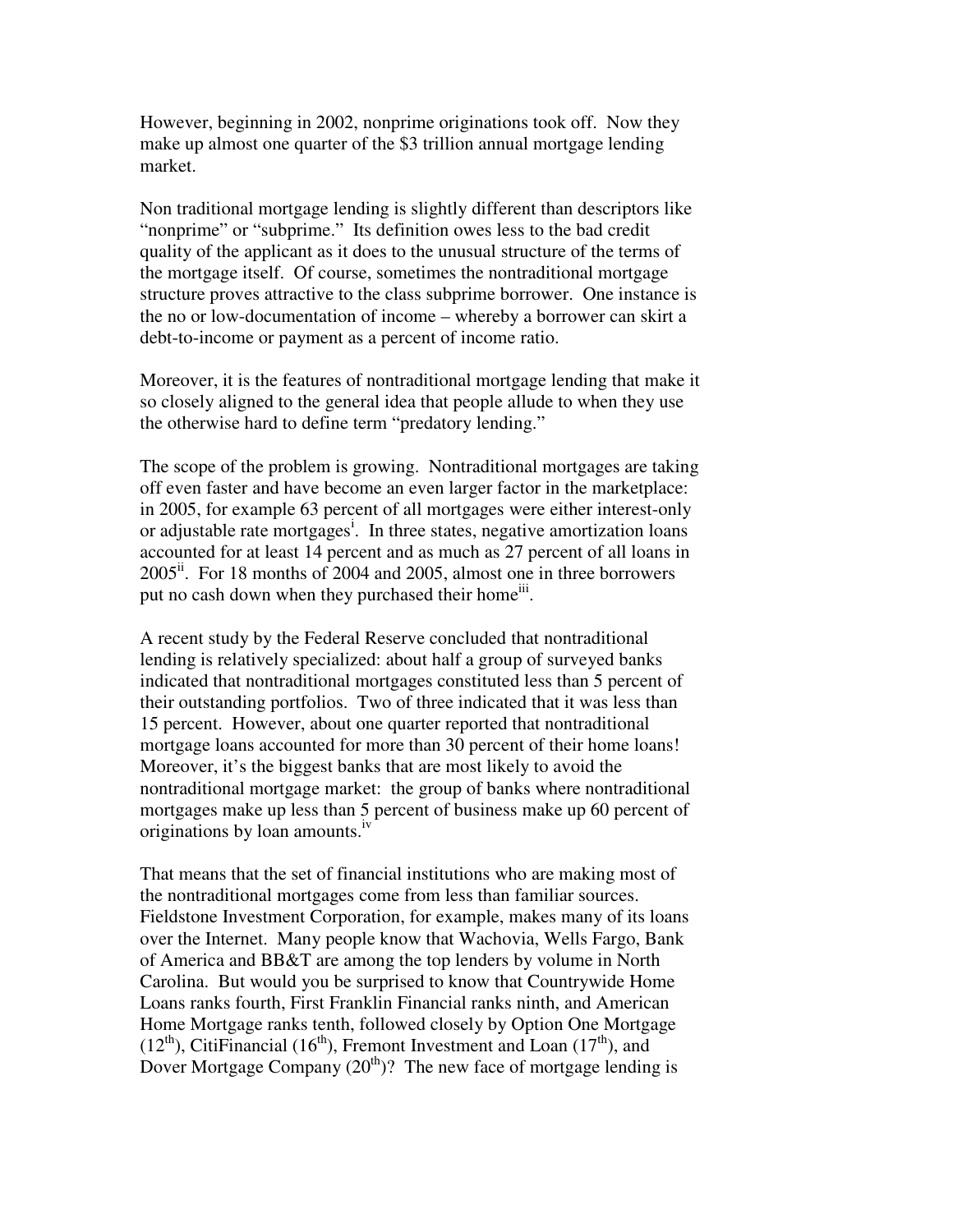However, beginning in 2002, nonprime originations took off. Now they make up almost one quarter of the \$3 trillion annual mortgage lending market.

Non traditional mortgage lending is slightly different than descriptors like "nonprime" or "subprime." Its definition owes less to the bad credit quality of the applicant as it does to the unusual structure of the terms of the mortgage itself. Of course, sometimes the nontraditional mortgage structure proves attractive to the class subprime borrower. One instance is the no or low-documentation of income – whereby a borrower can skirt a debt-to-income or payment as a percent of income ratio.

Moreover, it is the features of nontraditional mortgage lending that make it so closely aligned to the general idea that people allude to when they use the otherwise hard to define term "predatory lending."

The scope of the problem is growing. Nontraditional mortgages are taking off even faster and have become an even larger factor in the marketplace: in 2005, for example 63 percent of all mortgages were either interest-only or adjustable rate mortgages<sup>i</sup>. In three states, negative amortization loans accounted for at least 14 percent and as much as 27 percent of all loans in  $2005$ <sup>ii</sup>. For 18 months of 2004 and 2005, almost one in three borrowers put no cash down when they purchased their home<sup>iii</sup>.

A recent study by the Federal Reserve concluded that nontraditional lending is relatively specialized: about half a group of surveyed banks indicated that nontraditional mortgages constituted less than 5 percent of their outstanding portfolios. Two of three indicated that it was less than 15 percent. However, about one quarter reported that nontraditional mortgage loans accounted for more than 30 percent of their home loans! Moreover, it's the biggest banks that are most likely to avoid the nontraditional mortgage market: the group of banks where nontraditional mortgages make up less than 5 percent of business make up 60 percent of originations by loan amounts.<sup>iv</sup>

That means that the set of financial institutions who are making most of the nontraditional mortgages come from less than familiar sources. Fieldstone Investment Corporation, for example, makes many of its loans over the Internet. Many people know that Wachovia, Wells Fargo, Bank of America and BB&T are among the top lenders by volume in North Carolina. But would you be surprised to know that Countrywide Home Loans ranks fourth, First Franklin Financial ranks ninth, and American Home Mortgage ranks tenth, followed closely by Option One Mortgage  $(12<sup>th</sup>)$ , CitiFinancial (16<sup>th</sup>), Fremont Investment and Loan (17<sup>th</sup>), and Dover Mortgage Company  $(20<sup>th</sup>)$ ? The new face of mortgage lending is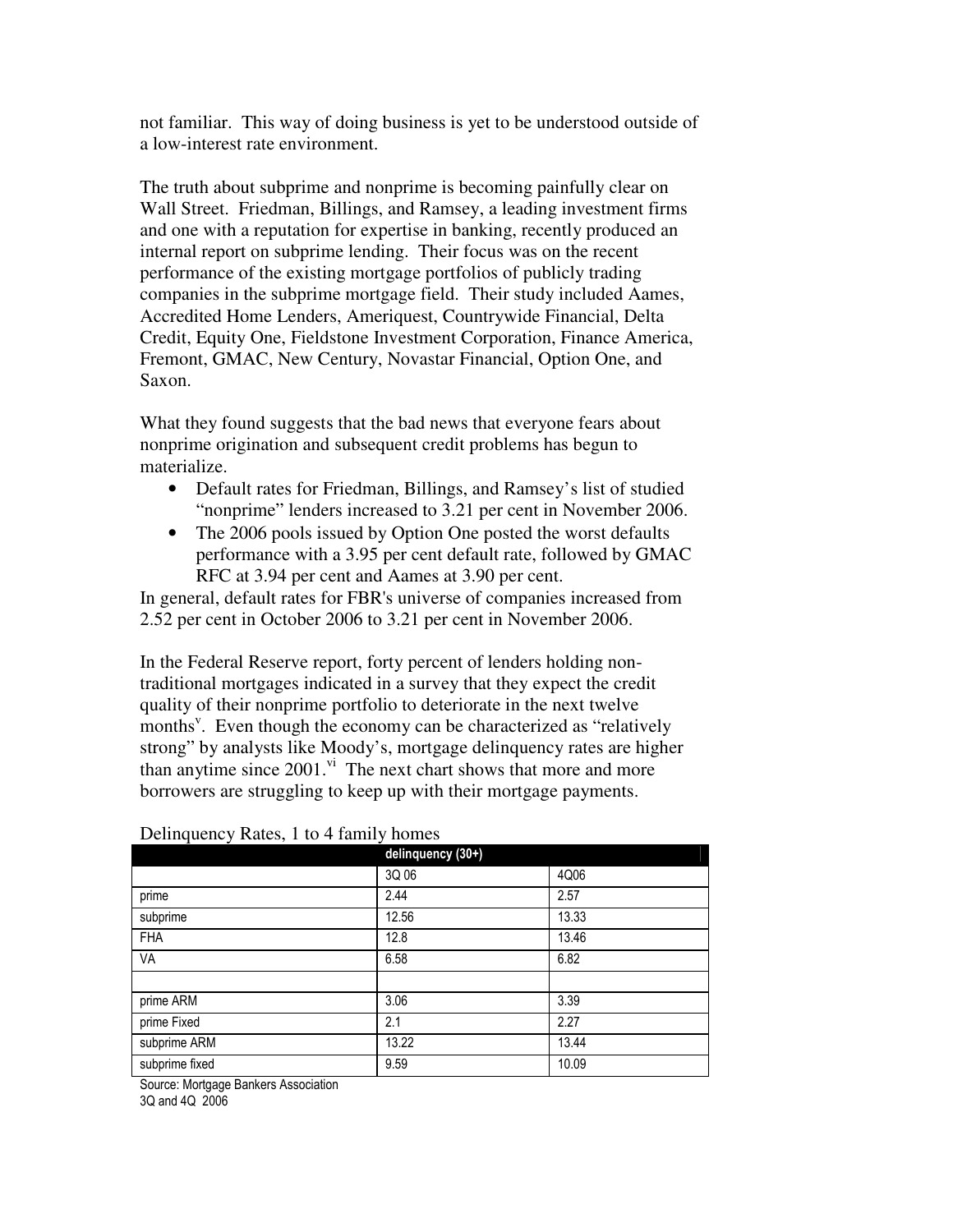not familiar. This way of doing business is yet to be understood outside of a low-interest rate environment.

The truth about subprime and nonprime is becoming painfully clear on Wall Street. Friedman, Billings, and Ramsey, a leading investment firms and one with a reputation for expertise in banking, recently produced an internal report on subprime lending. Their focus was on the recent performance of the existing mortgage portfolios of publicly trading companies in the subprime mortgage field. Their study included Aames, Accredited Home Lenders, Ameriquest, Countrywide Financial, Delta Credit, Equity One, Fieldstone Investment Corporation, Finance America, Fremont, GMAC, New Century, Novastar Financial, Option One, and Saxon.

What they found suggests that the bad news that everyone fears about nonprime origination and subsequent credit problems has begun to materialize.

- Default rates for Friedman, Billings, and Ramsey's list of studied "nonprime" lenders increased to 3.21 per cent in November 2006.
- The 2006 pools issued by Option One posted the worst defaults performance with a 3.95 per cent default rate, followed by GMAC RFC at 3.94 per cent and Aames at 3.90 per cent.

In general, default rates for FBR's universe of companies increased from 2.52 per cent in October 2006 to 3.21 per cent in November 2006.

In the Federal Reserve report, forty percent of lenders holding nontraditional mortgages indicated in a survey that they expect the credit quality of their nonprime portfolio to deteriorate in the next twelve months<sup>v</sup>. Even though the economy can be characterized as "relatively strong" by analysts like Moody's, mortgage delinquency rates are higher than anytime since 2001.<sup>vi</sup> The next chart shows that more and more borrowers are struggling to keep up with their mortgage payments.

| $=$ $\frac{1}{2}$ $\frac{1}{2}$ $\frac{1}{2}$ $\frac{1}{2}$ $\frac{1}{2}$ $\frac{1}{2}$ $\frac{1}{2}$ $\frac{1}{2}$ $\frac{1}{2}$ $\frac{1}{2}$ $\frac{1}{2}$ $\frac{1}{2}$ $\frac{1}{2}$ $\frac{1}{2}$ $\frac{1}{2}$ $\frac{1}{2}$ $\frac{1}{2}$ $\frac{1}{2}$ $\frac{1}{2}$ $\frac{1}{2}$ $\frac{1}{2}$ $\frac{1}{2$ | delinquency (30+) |       |
|------------------------------------------------------------------------------------------------------------------------------------------------------------------------------------------------------------------------------------------------------------------------------------------------------------------------|-------------------|-------|
|                                                                                                                                                                                                                                                                                                                        | 3Q 06             | 4Q06  |
| prime                                                                                                                                                                                                                                                                                                                  | 2.44              | 2.57  |
| subprime                                                                                                                                                                                                                                                                                                               | 12.56             | 13.33 |
| <b>FHA</b>                                                                                                                                                                                                                                                                                                             | 12.8              | 13.46 |
| VA                                                                                                                                                                                                                                                                                                                     | 6.58              | 6.82  |
|                                                                                                                                                                                                                                                                                                                        |                   |       |
| prime ARM                                                                                                                                                                                                                                                                                                              | 3.06              | 3.39  |
| prime Fixed                                                                                                                                                                                                                                                                                                            | 2.1               | 2.27  |
| subprime ARM                                                                                                                                                                                                                                                                                                           | 13.22             | 13.44 |
| subprime fixed                                                                                                                                                                                                                                                                                                         | 9.59              | 10.09 |

Delinquency Rates, 1 to 4 family homes

Source: Mortgage Bankers Association

3Q and 4Q 2006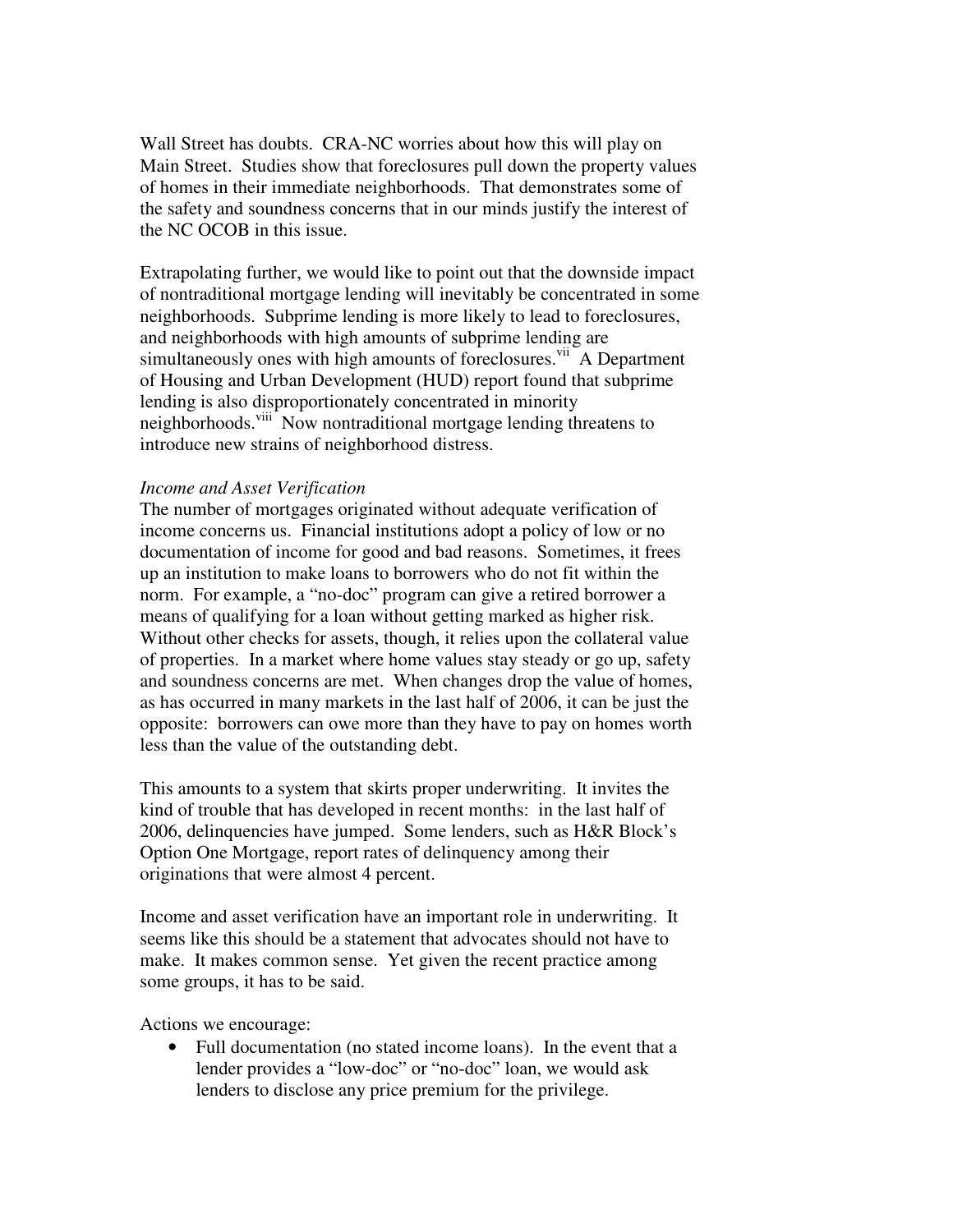Wall Street has doubts. CRA-NC worries about how this will play on Main Street. Studies show that foreclosures pull down the property values of homes in their immediate neighborhoods. That demonstrates some of the safety and soundness concerns that in our minds justify the interest of the NC OCOB in this issue.

Extrapolating further, we would like to point out that the downside impact of nontraditional mortgage lending will inevitably be concentrated in some neighborhoods. Subprime lending is more likely to lead to foreclosures, and neighborhoods with high amounts of subprime lending are simultaneously ones with high amounts of foreclosures.<sup>vii</sup> A Department of Housing and Urban Development (HUD) report found that subprime lending is also disproportionately concentrated in minority neighborhoods.<sup>viii</sup> Now nontraditional mortgage lending threatens to introduce new strains of neighborhood distress.

## *Income and Asset Verification*

The number of mortgages originated without adequate verification of income concerns us. Financial institutions adopt a policy of low or no documentation of income for good and bad reasons. Sometimes, it frees up an institution to make loans to borrowers who do not fit within the norm. For example, a "no-doc" program can give a retired borrower a means of qualifying for a loan without getting marked as higher risk. Without other checks for assets, though, it relies upon the collateral value of properties. In a market where home values stay steady or go up, safety and soundness concerns are met. When changes drop the value of homes, as has occurred in many markets in the last half of 2006, it can be just the opposite: borrowers can owe more than they have to pay on homes worth less than the value of the outstanding debt.

This amounts to a system that skirts proper underwriting. It invites the kind of trouble that has developed in recent months: in the last half of 2006, delinquencies have jumped. Some lenders, such as H&R Block's Option One Mortgage, report rates of delinquency among their originations that were almost 4 percent.

Income and asset verification have an important role in underwriting. It seems like this should be a statement that advocates should not have to make. It makes common sense. Yet given the recent practice among some groups, it has to be said.

Actions we encourage:

• Full documentation (no stated income loans). In the event that a lender provides a "low-doc" or "no-doc" loan, we would ask lenders to disclose any price premium for the privilege.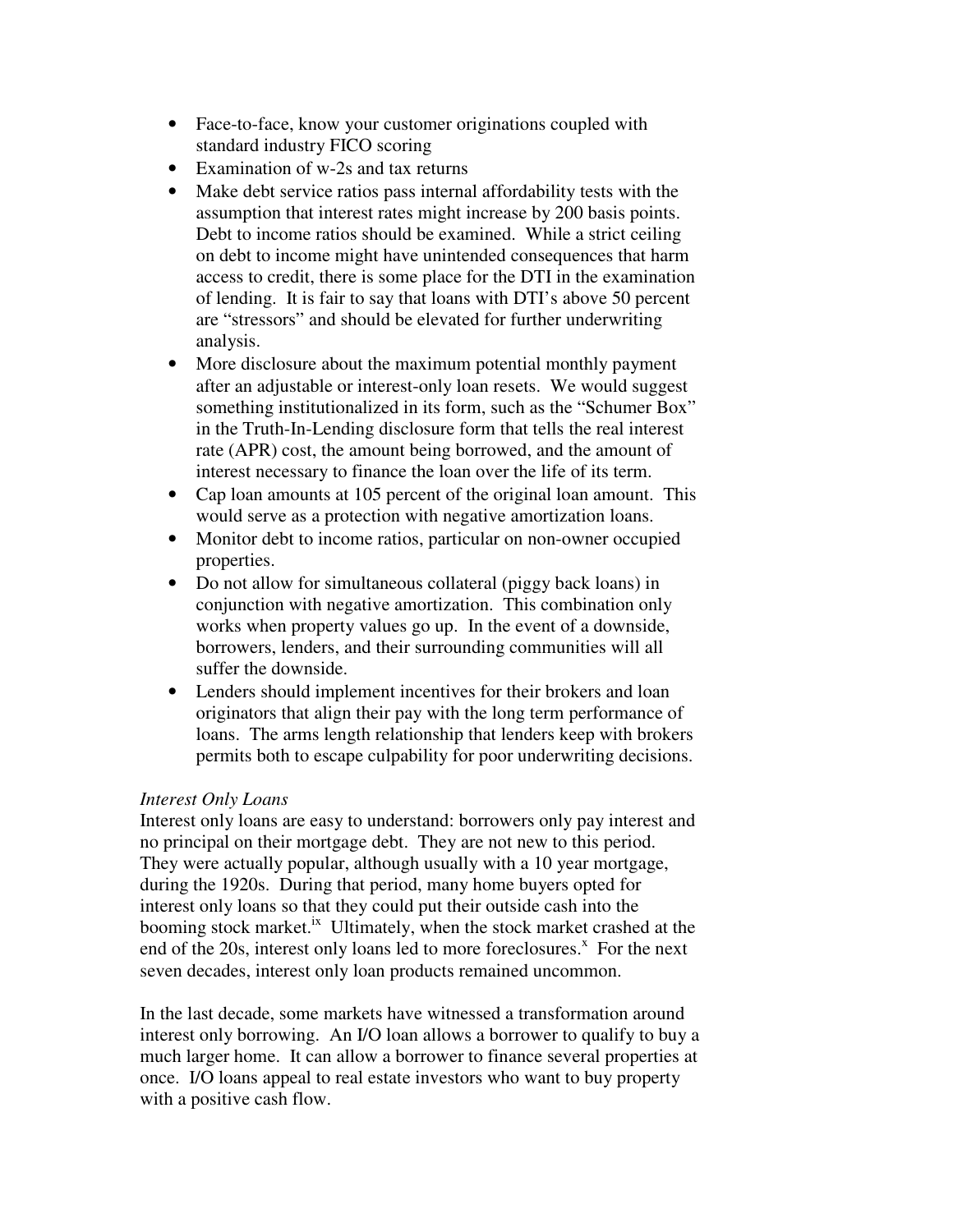- Face-to-face, know your customer originations coupled with standard industry FICO scoring
- Examination of w-2s and tax returns
- Make debt service ratios pass internal affordability tests with the assumption that interest rates might increase by 200 basis points. Debt to income ratios should be examined. While a strict ceiling on debt to income might have unintended consequences that harm access to credit, there is some place for the DTI in the examination of lending. It is fair to say that loans with DTI's above 50 percent are "stressors" and should be elevated for further underwriting analysis.
- More disclosure about the maximum potential monthly payment after an adjustable or interest-only loan resets. We would suggest something institutionalized in its form, such as the "Schumer Box" in the Truth-In-Lending disclosure form that tells the real interest rate (APR) cost, the amount being borrowed, and the amount of interest necessary to finance the loan over the life of its term.
- Cap loan amounts at 105 percent of the original loan amount. This would serve as a protection with negative amortization loans.
- Monitor debt to income ratios, particular on non-owner occupied properties.
- Do not allow for simultaneous collateral (piggy back loans) in conjunction with negative amortization. This combination only works when property values go up. In the event of a downside, borrowers, lenders, and their surrounding communities will all suffer the downside.
- Lenders should implement incentives for their brokers and loan originators that align their pay with the long term performance of loans. The arms length relationship that lenders keep with brokers permits both to escape culpability for poor underwriting decisions.

# *Interest Only Loans*

Interest only loans are easy to understand: borrowers only pay interest and no principal on their mortgage debt. They are not new to this period. They were actually popular, although usually with a 10 year mortgage, during the 1920s. During that period, many home buyers opted for interest only loans so that they could put their outside cash into the booming stock market.<sup>ix</sup> Ultimately, when the stock market crashed at the end of the 20s, interest only loans led to more foreclosures.<sup>x</sup> For the next seven decades, interest only loan products remained uncommon.

In the last decade, some markets have witnessed a transformation around interest only borrowing. An I/O loan allows a borrower to qualify to buy a much larger home. It can allow a borrower to finance several properties at once. I/O loans appeal to real estate investors who want to buy property with a positive cash flow.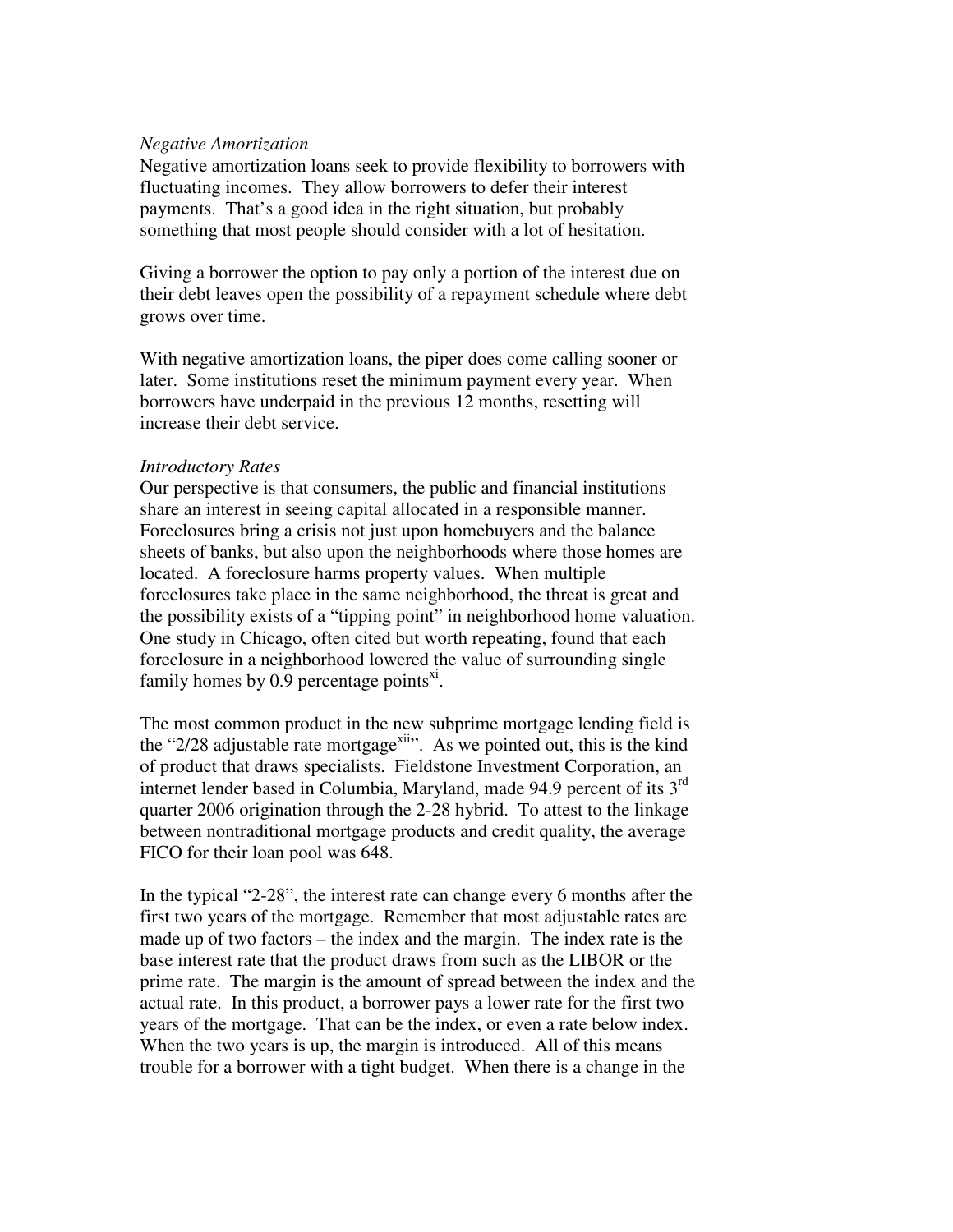### *Negative Amortization*

Negative amortization loans seek to provide flexibility to borrowers with fluctuating incomes. They allow borrowers to defer their interest payments. That's a good idea in the right situation, but probably something that most people should consider with a lot of hesitation.

Giving a borrower the option to pay only a portion of the interest due on their debt leaves open the possibility of a repayment schedule where debt grows over time.

With negative amortization loans, the piper does come calling sooner or later. Some institutions reset the minimum payment every year. When borrowers have underpaid in the previous 12 months, resetting will increase their debt service.

#### *Introductory Rates*

Our perspective is that consumers, the public and financial institutions share an interest in seeing capital allocated in a responsible manner. Foreclosures bring a crisis not just upon homebuyers and the balance sheets of banks, but also upon the neighborhoods where those homes are located. A foreclosure harms property values. When multiple foreclosures take place in the same neighborhood, the threat is great and the possibility exists of a "tipping point" in neighborhood home valuation. One study in Chicago, often cited but worth repeating, found that each foreclosure in a neighborhood lowered the value of surrounding single family homes by  $0.9$  percentage points<sup>xi</sup>.

The most common product in the new subprime mortgage lending field is the "2/28 adjustable rate mortgage<sup>xii</sup>". As we pointed out, this is the kind of product that draws specialists. Fieldstone Investment Corporation, an internet lender based in Columbia, Maryland, made 94.9 percent of its 3<sup>rd</sup> quarter 2006 origination through the 2-28 hybrid. To attest to the linkage between nontraditional mortgage products and credit quality, the average FICO for their loan pool was 648.

In the typical "2-28", the interest rate can change every 6 months after the first two years of the mortgage. Remember that most adjustable rates are made up of two factors – the index and the margin. The index rate is the base interest rate that the product draws from such as the LIBOR or the prime rate. The margin is the amount of spread between the index and the actual rate. In this product, a borrower pays a lower rate for the first two years of the mortgage. That can be the index, or even a rate below index. When the two years is up, the margin is introduced. All of this means trouble for a borrower with a tight budget. When there is a change in the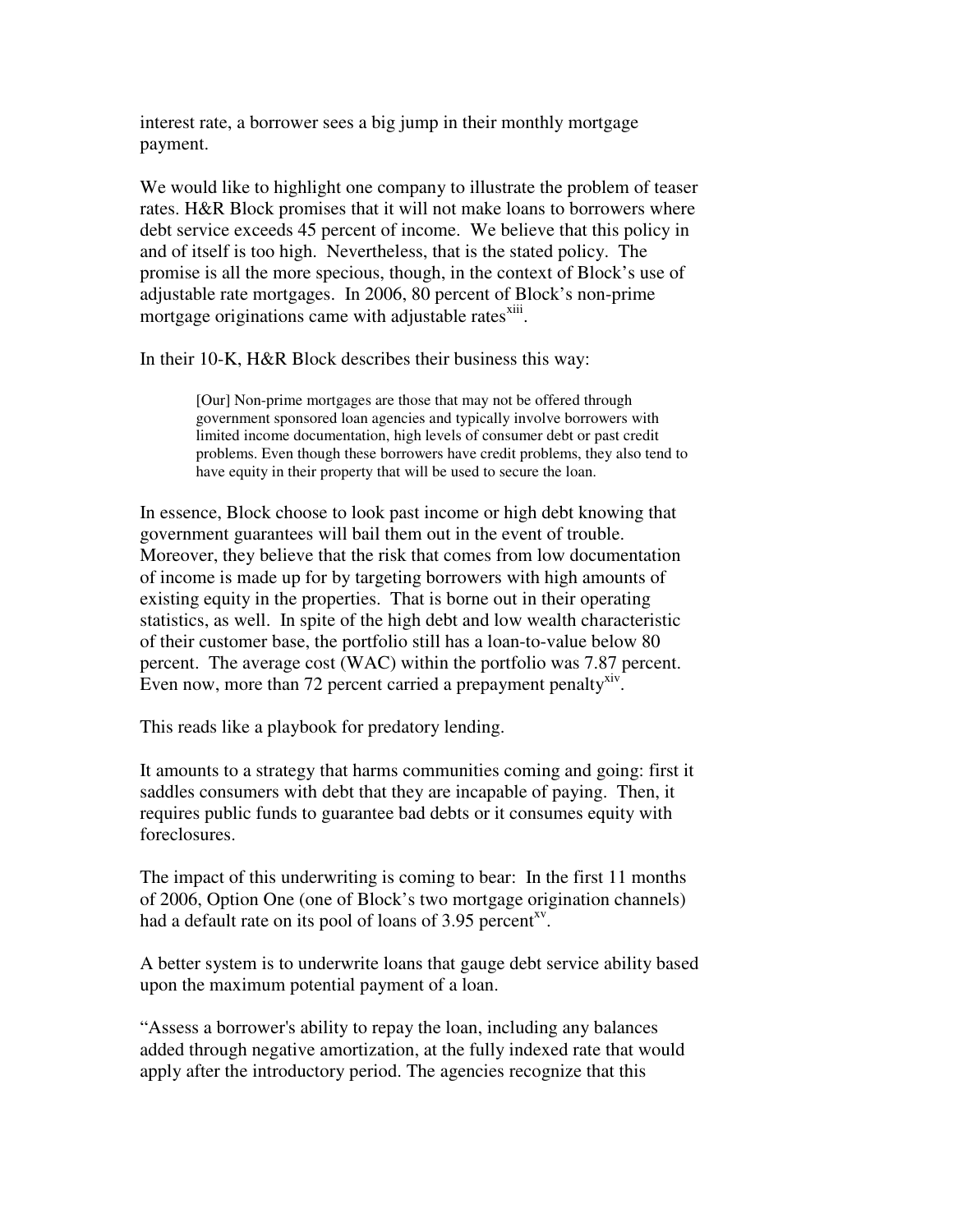interest rate, a borrower sees a big jump in their monthly mortgage payment.

We would like to highlight one company to illustrate the problem of teaser rates. H&R Block promises that it will not make loans to borrowers where debt service exceeds 45 percent of income. We believe that this policy in and of itself is too high. Nevertheless, that is the stated policy. The promise is all the more specious, though, in the context of Block's use of adjustable rate mortgages. In 2006, 80 percent of Block's non-prime mortgage originations came with adjustable rates<sup>xiii</sup>.

In their 10-K, H&R Block describes their business this way:

[Our] Non-prime mortgages are those that may not be offered through government sponsored loan agencies and typically involve borrowers with limited income documentation, high levels of consumer debt or past credit problems. Even though these borrowers have credit problems, they also tend to have equity in their property that will be used to secure the loan.

In essence, Block choose to look past income or high debt knowing that government guarantees will bail them out in the event of trouble. Moreover, they believe that the risk that comes from low documentation of income is made up for by targeting borrowers with high amounts of existing equity in the properties. That is borne out in their operating statistics, as well. In spite of the high debt and low wealth characteristic of their customer base, the portfolio still has a loan-to-value below 80 percent. The average cost (WAC) within the portfolio was 7.87 percent. Even now, more than 72 percent carried a prepayment penalty<sup>xiv</sup>.

This reads like a playbook for predatory lending.

It amounts to a strategy that harms communities coming and going: first it saddles consumers with debt that they are incapable of paying. Then, it requires public funds to guarantee bad debts or it consumes equity with foreclosures.

The impact of this underwriting is coming to bear: In the first 11 months of 2006, Option One (one of Block's two mortgage origination channels) had a default rate on its pool of loans of 3.95 percent<sup>xy</sup>.

A better system is to underwrite loans that gauge debt service ability based upon the maximum potential payment of a loan.

"Assess a borrower's ability to repay the loan, including any balances added through negative amortization, at the fully indexed rate that would apply after the introductory period. The agencies recognize that this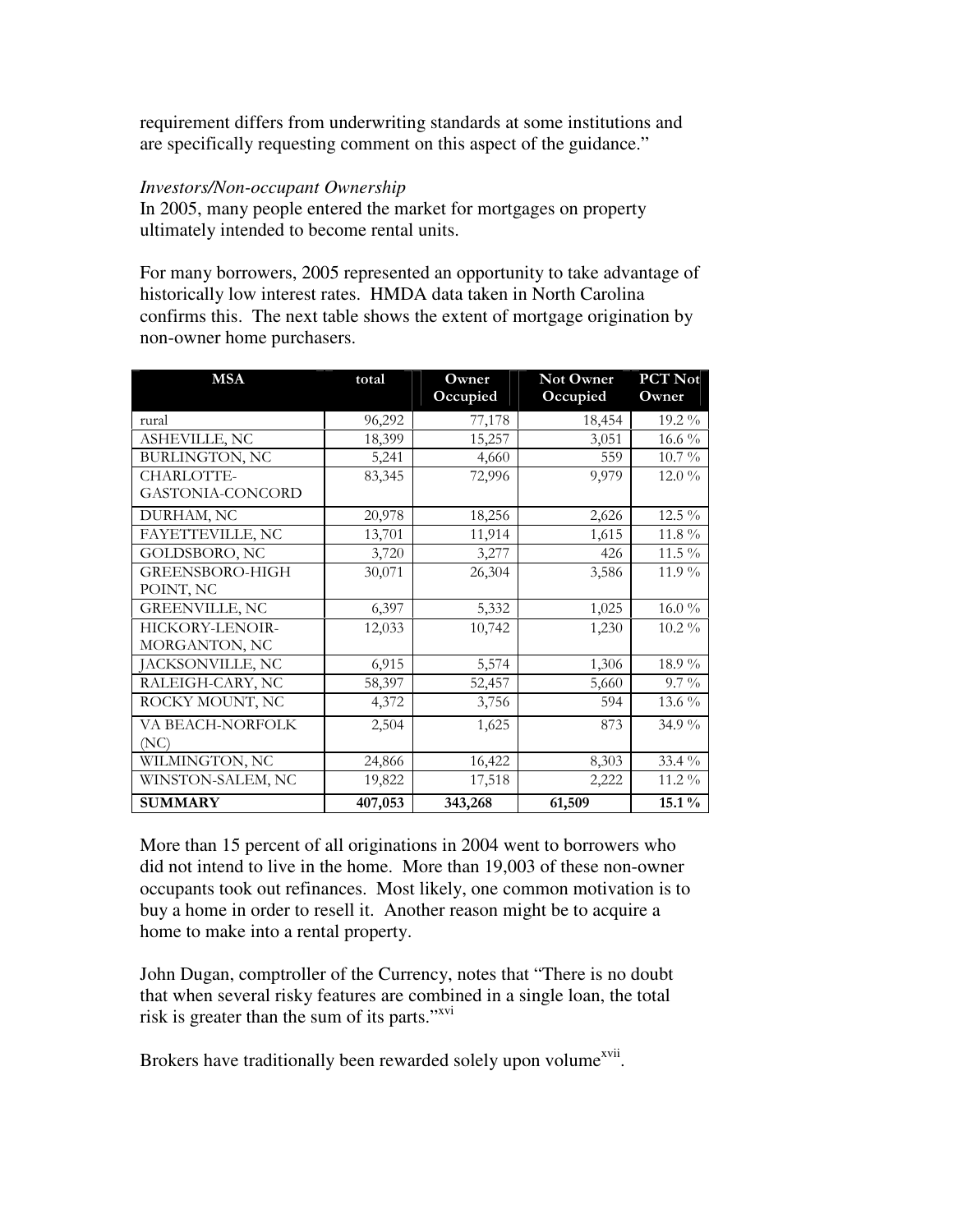requirement differs from underwriting standards at some institutions and are specifically requesting comment on this aspect of the guidance."

### *Investors/Non-occupant Ownership*

In 2005, many people entered the market for mortgages on property ultimately intended to become rental units.

For many borrowers, 2005 represented an opportunity to take advantage of historically low interest rates. HMDA data taken in North Carolina confirms this. The next table shows the extent of mortgage origination by non-owner home purchasers.

| <b>MSA</b>            | total   | Owner<br>Occupied | Not Owner<br>Occupied | PCT Not<br>Owner |
|-----------------------|---------|-------------------|-----------------------|------------------|
| rural                 | 96,292  | 77,178            | 18,454                | 19.2 %           |
| ASHEVILLE, NC         | 18,399  | 15,257            | 3,051                 | 16.6 $\%$        |
| <b>BURLINGTON, NC</b> | 5,241   | 4,660             | 559                   | $10.7\%$         |
| CHARLOTTE-            | 83,345  | 72,996            | 9,979                 | $12.0\%$         |
| GASTONIA-CONCORD      |         |                   |                       |                  |
| DURHAM, NC            | 20,978  | 18,256            | 2,626                 | 12.5 %           |
| FAYETTEVILLE, NC      | 13,701  | 11,914            | 1,615                 | $11.8\%$         |
| GOLDSBORO, NC         | 3,720   | 3,277             | 426                   | $11.5\%$         |
| GREENSBORO-HIGH       | 30,071  | 26,304            | 3,586                 | 11.9%            |
| POINT, NC             |         |                   |                       |                  |
| <b>GREENVILLE, NC</b> | 6,397   | 5,332             | 1,025                 | $16.0\%$         |
| HICKORY-LENOIR-       | 12,033  | 10,742            | 1,230                 | $10.2\%$         |
| MORGANTON, NC         |         |                   |                       |                  |
| JACKSONVILLE, NC      | 6,915   | 5,574             | 1,306                 | 18.9%            |
| RALEIGH-CARY, NC      | 58,397  | 52,457            | 5,660                 | $9.7\%$          |
| ROCKY MOUNT, NC       | 4,372   | 3,756             | 594                   | 13.6 %           |
| VA BEACH-NORFOLK      | 2,504   | 1,625             | 873                   | 34.9 %           |
| (NC)                  |         |                   |                       |                  |
| WILMINGTON, NC        | 24,866  | 16,422            | 8,303                 | 33.4 %           |
| WINSTON-SALEM, NC     | 19,822  | 17,518            | 2,222                 | $11.2\%$         |
| <b>SUMMARY</b>        | 407,053 | 343,268           | 61,509                | $15.1\%$         |

More than 15 percent of all originations in 2004 went to borrowers who did not intend to live in the home. More than 19,003 of these non-owner occupants took out refinances. Most likely, one common motivation is to buy a home in order to resell it. Another reason might be to acquire a home to make into a rental property.

John Dugan, comptroller of the Currency, notes that "There is no doubt that when several risky features are combined in a single loan, the total risk is greater than the sum of its parts."<sup>xvi</sup>

Brokers have traditionally been rewarded solely upon volume<sup>xvii</sup>.